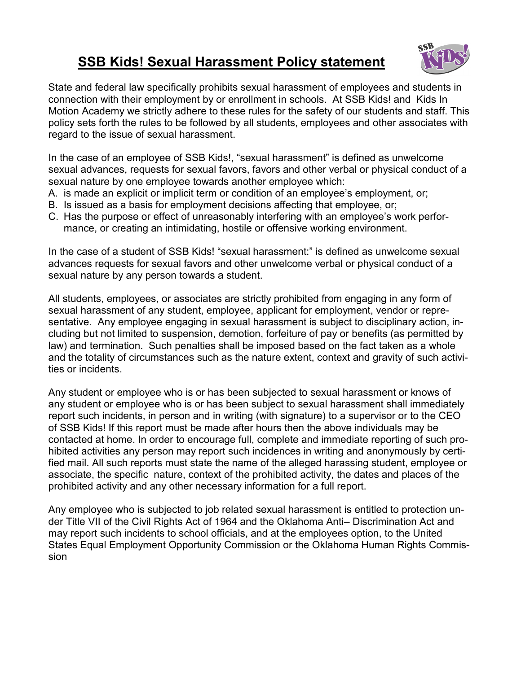## **SSB Kids! Sexual Harassment Policy statement**



State and federal law specifically prohibits sexual harassment of employees and students in connection with their employment by or enrollment in schools. At SSB Kids! and Kids In Motion Academy we strictly adhere to these rules for the safety of our students and staff. This policy sets forth the rules to be followed by all students, employees and other associates with regard to the issue of sexual harassment.

In the case of an employee of SSB Kids!, "sexual harassment" is defined as unwelcome sexual advances, requests for sexual favors, favors and other verbal or physical conduct of a sexual nature by one employee towards another employee which:

- A. is made an explicit or implicit term or condition of an employee's employment, or;
- B. Is issued as a basis for employment decisions affecting that employee, or;
- C. Has the purpose or effect of unreasonably interfering with an employee's work performance, or creating an intimidating, hostile or offensive working environment.

In the case of a student of SSB Kids! "sexual harassment:" is defined as unwelcome sexual advances requests for sexual favors and other unwelcome verbal or physical conduct of a sexual nature by any person towards a student.

All students, employees, or associates are strictly prohibited from engaging in any form of sexual harassment of any student, employee, applicant for employment, vendor or representative. Any employee engaging in sexual harassment is subject to disciplinary action, including but not limited to suspension, demotion, forfeiture of pay or benefits (as permitted by law) and termination. Such penalties shall be imposed based on the fact taken as a whole and the totality of circumstances such as the nature extent, context and gravity of such activities or incidents.

Any student or employee who is or has been subjected to sexual harassment or knows of any student or employee who is or has been subject to sexual harassment shall immediately report such incidents, in person and in writing (with signature) to a supervisor or to the CEO of SSB Kids! If this report must be made after hours then the above individuals may be contacted at home. In order to encourage full, complete and immediate reporting of such prohibited activities any person may report such incidences in writing and anonymously by certified mail. All such reports must state the name of the alleged harassing student, employee or associate, the specific nature, context of the prohibited activity, the dates and places of the prohibited activity and any other necessary information for a full report.

Any employee who is subjected to job related sexual harassment is entitled to protection under Title VII of the Civil Rights Act of 1964 and the Oklahoma Anti– Discrimination Act and may report such incidents to school officials, and at the employees option, to the United States Equal Employment Opportunity Commission or the Oklahoma Human Rights Commission